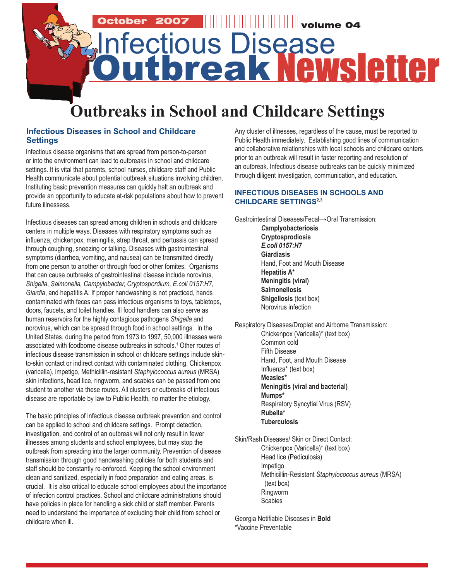

## **Infectious Diseases in School and Childcare Settings**

Infectious disease organisms that are spread from person-to-person or into the environment can lead to outbreaks in school and childcare settings. It is vital that parents, school nurses, childcare staff and Public Health communicate about potential outbreak situations involving children. Instituting basic prevention measures can quickly halt an outbreak and provide an opportunity to educate at-risk populations about how to prevent future illnessess.

Infectious diseases can spread among children in schools and childcare centers in multiple ways. Diseases with respiratory symptoms such as influenza, chickenpox, meningitis, strep throat, and pertussis can spread through coughing, sneezing or talking. Diseases with gastrointestinal symptoms (diarrhea, vomiting, and nausea) can be transmitted directly from one person to another or through food or other fomites. Organisms that can cause outbreaks of gastrointestinal disease include norovirus, *Shigella*, *Salmonella, Campylobacter, Cryptospordium, E.coli 0157:H7, Giardia*, and hepatitis A. If proper handwashing is not practiced, hands contaminated with feces can pass infectious organisms to toys, tabletops, doors, faucets, and toilet handles. Ill food handlers can also serve as human reservoirs for the highly contagious pathogens *Shigella* and norovirus, which can be spread through food in school settings. In the United States, during the period from 1973 to 1997, 50,000 illnesses were associated with foodborne disease outbreaks in schools.1 Other routes of infectious disease transmission in school or childcare settings include skinto-skin contact or indirect contact with contaminated clothing. Chickenpox (varicella), impetigo, Methicillin-resistant *Staphylococcus aureus* (MRSA) skin infections, head lice, ringworm, and scabies can be passed from one student to another via these routes. All clusters or outbreaks of infectious disease are reportable by law to Public Health, no matter the etiology.

The basic principles of infectious disease outbreak prevention and control can be applied to school and childcare settings. Prompt detection, investigation, and control of an outbreak will not only result in fewer illnesses among students and school employees, but may stop the outbreak from spreading into the larger community. Prevention of disease transmission through good handwashing policies for both students and staff should be constantly re-enforced. Keeping the school environment clean and sanitized, especially in food preparation and eating areas, is crucial. It is also critical to educate school employees about the importance of infection control practices. School and childcare administrations should have policies in place for handling a sick child or staff member. Parents need to understand the importance of excluding their child from school or childcare when ill.

Any cluster of illnesses, regardless of the cause, must be reported to Public Health immediately. Establishing good lines of communication and collaborative relationships with local schools and childcare centers prior to an outbreak will result in faster reporting and resolution of an outbreak. Infectious disease outbreaks can be quickly minimized through diligent investigation, communication, and education.

### **INFECTIOUS DISEASES IN SCHOOLS AND CHILDCARE SETTINGS2,3**

Gastrointestinal Diseases/Fecal→Oral Transmission: *C***amplyobacteriosis Cryptosprodiosis** *E.coli 0157:H7* **Giardiasis** Hand, Foot and Mouth Disease **Hepatitis A\* Meningitis (viral) Salmonellosis Shigellosis** (text box) Norovirus infection

Respiratory Diseases/Droplet and Airborne Transmission: Chickenpox (Varicella)\* (text box) Common cold Fifth Disease Hand, Foot, and Mouth Disease Influenza\* (text box) **Measles\* Meningitis (viral and bacterial) Mumps\*** Respiratory Syncytial Virus (RSV) **Rubella\* Tuberculosis**

Skin/Rash Diseases/ Skin or Direct Contact: Chickenpox (Varicella)\* (text box) Head lice (Pediculosis) Impetigo Methicillin-Resistant *Staphylococcus aureus* (MRSA) (text box) Ringworm **Scabies** 

Georgia Notifiable Diseases in **Bold** \*Vaccine Preventable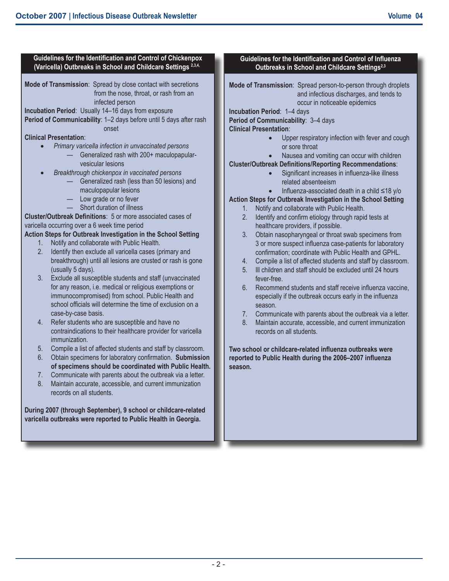#### **Incubation Period**: 1–4 days **Clinical Presentation**: fever-free. season. **Guidelines for the Identification and Control of Chickenpox** (Varicella) Outbreaks in School and Childcare Settings<sup>2,3,4,</sup> **Mode of Transmission**: Spread by close contact with secretions from the nose, throat, or rash from an infected person **Incubation Period**: Usually 14–16 days from exposure **Period of Communicability**: 1-2 days before until 5 days after rash onset **Clinical Presentation**: • *Primary varicella infection in unvaccinated persons* — Generalized rash with 200+ maculopapularvesicular lesions • *Breakthrough chickenpox in vaccinated persons* — Generalized rash (less than 50 lesions) and maculopapular lesions — Low grade or no fever — Short duration of illness **Cluster/Outbreak Definitions: 5 or more associated cases of** varicella occurring over a 6 week time period **Action Steps for Outbreak Investigation in the School Setting** 1. Notify and collaborate with Public Health. 2. Identify then exclude all varicella cases (primary and breakthrough) until all lesions are crusted or rash is gone (usually 5 days). 3. Exclude all susceptible students and staff (unvaccinated for any reason, i.e. medical or religious exemptions or immunocompromised) from school. Public Health and school officials will determine the time of exclusion on a case-by-case basis. 4. Refer students who are susceptible and have no contraindications to their healthcare provider for varicella immunization. 5. Compile a list of affected students and staff by classroom.

- 6. Obtain specimens for laboratory confirmation. **Submission of specimens should be coordinated with Public Health.**
- 7. Communicate with parents about the outbreak via a letter.
- 8. Maintain accurate, accessible, and current immunization records on all students.

**During 2007 (through September), 9 school or childcare-related varicella outbreaks were reported to Public Health in Georgia.**

## **Guidelines for the Identification and Control of Influenza Outbreaks in School and Childcare Settings2,3**

**Mode of Transmission**: Spread person-to-person through droplets and infectious discharges, and tends to occur in noticeable epidemics

**Period of Communicability**: 3–4 days

- Upper respiratory infection with fever and cough or sore throat
- Nausea and vomiting can occur with children

**Cluster/Outbreak Definitions/Reporting Recommendations:** 

- Significant increases in influenza-like illness related absenteeism
- Influenza-associated death in a child ≤18 y/o

# **Action Steps for Outbreak Investigation in the School Setting**

- 1. Notify and collaborate with Public Health.
- 2. Identify and confirm etiology through rapid tests at healthcare providers, if possible.
- 3. Obtain nasopharyngeal or throat swab specimens from 3 or more suspect influenza case-patients for laboratory confirmation; coordinate with Public Health and GPHL.
- 4. Compile a list of affected students and staff by classroom.
- 5. Ill children and staff should be excluded until 24 hours
- 6. Recommend students and staff receive influenza vaccine. especially if the outbreak occurs early in the influenza
- 7. Communicate with parents about the outbreak via a letter.
- 8. Maintain accurate, accessible, and current immunization records on all students.

**Two school or childcare-related influenza outbreaks were** reported to Public Health during the 2006–2007 influenza **season.**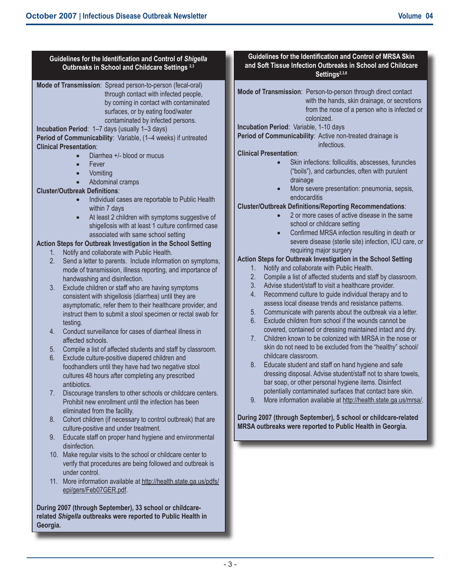| Guidelines for the Identification and Control of Shigella<br>Outbreaks in School and Childcare Settings <sup>2,3</sup>                                                                                                                                                                                                                                                                                                                                                                                                                                                                                                                                                                                                                                                                                                                                                                                                                                                                                                                                                                                                                                                                                                                                                                                                                                                                                                                                                                                                                                                                                                                                                                                                                                                                                                                                                                                                                                                                                                                                                                                                                                                                                                                                                                                                                                                                                                                                           | Guidelines for the Identification and Control of MRSA Skin<br>and Soft Tissue Infection Outbreaks in School and Childcare<br>Settings <sup>2,3,6</sup>                                                                                                                                                                                                                                                                                                                                                                                                                                                                                                                                                                                                                                                                                                                                                                                                                                                                                                                                                                                                                                                                                                                                                                                                                                                                                                                                                                                                                                                                                                                                                                                                                                                                                                                                                                                                                                                     |
|------------------------------------------------------------------------------------------------------------------------------------------------------------------------------------------------------------------------------------------------------------------------------------------------------------------------------------------------------------------------------------------------------------------------------------------------------------------------------------------------------------------------------------------------------------------------------------------------------------------------------------------------------------------------------------------------------------------------------------------------------------------------------------------------------------------------------------------------------------------------------------------------------------------------------------------------------------------------------------------------------------------------------------------------------------------------------------------------------------------------------------------------------------------------------------------------------------------------------------------------------------------------------------------------------------------------------------------------------------------------------------------------------------------------------------------------------------------------------------------------------------------------------------------------------------------------------------------------------------------------------------------------------------------------------------------------------------------------------------------------------------------------------------------------------------------------------------------------------------------------------------------------------------------------------------------------------------------------------------------------------------------------------------------------------------------------------------------------------------------------------------------------------------------------------------------------------------------------------------------------------------------------------------------------------------------------------------------------------------------------------------------------------------------------------------------------------------------|------------------------------------------------------------------------------------------------------------------------------------------------------------------------------------------------------------------------------------------------------------------------------------------------------------------------------------------------------------------------------------------------------------------------------------------------------------------------------------------------------------------------------------------------------------------------------------------------------------------------------------------------------------------------------------------------------------------------------------------------------------------------------------------------------------------------------------------------------------------------------------------------------------------------------------------------------------------------------------------------------------------------------------------------------------------------------------------------------------------------------------------------------------------------------------------------------------------------------------------------------------------------------------------------------------------------------------------------------------------------------------------------------------------------------------------------------------------------------------------------------------------------------------------------------------------------------------------------------------------------------------------------------------------------------------------------------------------------------------------------------------------------------------------------------------------------------------------------------------------------------------------------------------------------------------------------------------------------------------------------------------|
| Mode of Transmission: Spread person-to-person (fecal-oral)<br>through contact with infected people,<br>by coming in contact with contaminated<br>surfaces, or by eating food/water<br>contaminated by infected persons.<br>Incubation Period: 1-7 days (usually 1-3 days)<br>Period of Communicability: Variable, (1-4 weeks) if untreated<br><b>Clinical Presentation:</b><br>Diarrhea +/- blood or mucus<br>$\bullet$<br>Fever<br>$\bullet$<br>Vomiting<br>$\bullet$<br>Abdominal cramps<br>$\bullet$<br><b>Cluster/Outbreak Definitions:</b><br>Individual cases are reportable to Public Health<br>$\bullet$<br>within 7 days<br>At least 2 children with symptoms suggestive of<br>$\bullet$<br>shigellosis with at least 1 culture confirmed case<br>associated with same school setting<br>Action Steps for Outbreak Investigation in the School Setting<br>Notify and collaborate with Public Health.<br>1.<br>Send a letter to parents. Include information on symptoms,<br>2.<br>mode of transmission, illness reporting, and importance of<br>handwashing and disinfection.<br>3.<br>Exclude children or staff who are having symptoms<br>consistent with shigellosis (diarrhea) until they are<br>asymptomatic, refer them to their healthcare provider, and<br>instruct them to submit a stool specimen or rectal swab for<br>testing.<br>Conduct surveillance for cases of diarrheal illness in<br>4.<br>affected schools.<br>Compile a list of affected students and staff by classroom.<br>5 <sub>1</sub><br>6.<br>Exclude culture-positive diapered children and<br>foodhandlers until they have had two negative stool<br>cultures 48 hours after completing any prescribed<br>antibiotics.<br>7.<br>Discourage transfers to other schools or childcare centers.<br>Prohibit new enrollment until the infection has been<br>eliminated from the facility.<br>Cohort children (if necessary to control outbreak) that are<br>8.<br>culture-positive and under treatment.<br>Educate staff on proper hand hygiene and environmental<br>9.<br>disinfection.<br>10. Make regular visits to the school or childcare center to<br>verify that procedures are being followed and outbreak is<br>under control.<br>11. More information available at http://health.state.ga.us/pdfs/<br>epi/gers/Feb07GER.pdf.<br>During 2007 (through September), 33 school or childcare-<br>related Shigella outbreaks were reported to Public Health in<br>Georgia. | Mode of Transmission: Person-to-person through direct contact<br>with the hands, skin drainage, or secretions<br>from the nose of a person who is infected or<br>colonized.<br>Incubation Period: Variable, 1-10 days<br>Period of Communicability: Active non-treated drainage is<br>infectious.<br><b>Clinical Presentation:</b><br>Skin infections: folliculitis, abscesses, furuncles<br>("boils"), and carbuncles, often with purulent<br>drainage<br>More severe presentation: pneumonia, sepsis,<br>endocarditis<br><b>Cluster/Outbreak Definitions/Reporting Recommendations:</b><br>2 or more cases of active disease in the same<br>school or childcare setting<br>Confirmed MRSA infection resulting in death or<br>severe disease (sterile site) infection, ICU care, or<br>requiring major surgery<br>Action Steps for Outbreak Investigation in the School Setting<br>Notify and collaborate with Public Health.<br>1.<br>2.<br>Compile a list of affected students and staff by classroom.<br>3.<br>Advise student/staff to visit a healthcare provider.<br>Recommend culture to guide individual therapy and to<br>4.<br>assess local disease trends and resistance patterns.<br>Communicate with parents about the outbreak via a letter.<br>5.<br>Exclude children from school if the wounds cannot be<br>6.<br>covered, contained or dressing maintained intact and dry.<br>Children known to be colonized with MRSA in the nose or<br>7.<br>skin do not need to be excluded from the "healthy" school/<br>childcare classroom.<br>Educate student and staff on hand hygiene and safe<br>8.<br>dressing disposal. Advise student/staff not to share towels,<br>bar soap, or other personal hygiene items. Disinfect<br>potentially contaminated surfaces that contact bare skin.<br>More information available at http://health.state.ga.us/mrsa/.<br>9.<br>During 2007 (through September), 5 school or childcare-related<br>MRSA outbreaks were reported to Public Health in Georgia. |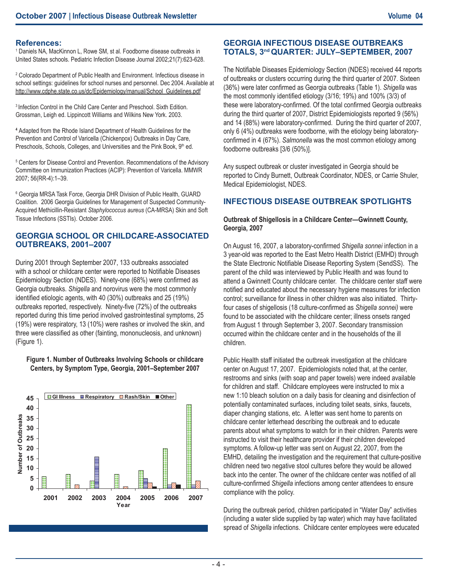### **References:**

<sup>1</sup> Daniels NA, MacKinnon L, Rowe SM, st al. Foodborne disease outbreaks in United States schools. Pediatric Infection Disease Journal 2002;21(7):623-628.

<sup>2</sup> Colorado Department of Public Health and Environment. Infectious disease in school settings: guidelines for school nurses and personnel. Dec 2004. Available at http://www.cdphe.state.co.us/dc/Epidemiology/manual/School\_Guidelines.pdf

<sup>3</sup> Infection Control in the Child Care Center and Preschool. Sixth Edition. Grossman, Leigh ed. Lippincott Williams and Wilkins New York. 2003.

**<sup>4</sup>** Adapted from the Rhode Island Department of Health Guidelines for the Prevention and Control of Varicella (Chickenpox) Outbreaks in Day Care, Preschools, Schools, Colleges, and Universities and the Pink Book, 9<sup>th</sup> ed.

<sup>5</sup> Centers for Disease Control and Prevention. Recommendations of the Advisory Committee on Immunization Practices (ACIP): Prevention of Varicella. MMWR 2007; 56(RR-4):1–39.

6 Georgia MRSA Task Force, Georgia DHR Division of Public Health, GUARD Coalition. 2006 Georgia Guidelines for Management of Suspected Community-Acquired Methicillin-Resistant *Staphylococcus aureus* (CA-MRSA) Skin and Soft Tissue Infections (SSTIs). October 2006.

## **GEORGIA SCHOOL OR CHILDCARE-ASSOCIATED OUTBREAKS, 2001–2007**

During 2001 through September 2007, 133 outbreaks associated with a school or childcare center were reported to Notifiable Diseases Epidemiology Section (NDES). Ninety-one (68%) were confirmed as Georgia outbreaks. *Shigella* and norovirus were the most commonly identified etiologic agents, with 40 (30%) outbreaks and 25 (19%) outbreaks reported, respectively. Ninety-five (72%) of the outbreaks reported during this time period involved gastrointestinal symptoms, 25 (19%) were respiratory, 13 (10%) were rashes or involved the skin, and three were classified as other (fainting, mononucleosis, and unknown) (Figure 1).

#### **Figure 1. Number of Outbreaks Involving Schools or childcare Centers, by Symptom Type, Georgia, 2001–September 2007**



# **GEORGIA INFECTIOUS DISEASE OUTBREAKS TOTALS, 3nd QUARTER: JULY–SEPTEMBER, 2007**

The Notifiable Diseases Epidemiology Section (NDES) received 44 reports of outbreaks or clusters occurring during the third quarter of 2007. Sixteen (36%) were later confirmed as Georgia outbreaks (Table 1). *Shigella* was the most commonly identified etiology (3/16; 19%) and 100% (3/3) of these were laboratory-confirmed. Of the total confirmed Georgia outbreaks during the third quarter of 2007, District Epidemiologists reported 9 (56%) and 14 (88%) were laboratory-confirmed. During the third quarter of 2007, only 6 (4%) outbreaks were foodborne, with the etiology being laboratoryconfirmed in 4 (67%). *Salmonella* was the most common etiology among foodborne outbreaks [3/6 (50%)].

Any suspect outbreak or cluster investigated in Georgia should be reported to Cindy Burnett, Outbreak Coordinator, NDES, or Carrie Shuler, Medical Epidemiologist, NDES.

## **INFECTIOUS DISEASE OUTBREAK SPOTLIGHTS**

### **Outbreak of Shigellosis in a Childcare Center—Gwinnett County, Georgia, 2007**

On August 16, 2007, a laboratory-confirmed *Shigella sonnei* infection in a 3 year-old was reported to the East Metro Health District (EMHD) through the State Electronic Notifiable Disease Reporting System (SendSS). The parent of the child was interviewed by Public Health and was found to attend a Gwinnett County childcare center. The childcare center staff were notified and educated about the necessary hygiene measures for infection control; surveillance for illness in other children was also initiated. Thirtyfour cases of shigellosis (18 culture-confirmed as *Shigella sonnei)* were found to be associated with the childcare center; illness onsets ranged from August 1 through September 3, 2007. Secondary transmission occurred within the childcare center and in the households of the ill children.

Public Health staff initiated the outbreak investigation at the childcare center on August 17, 2007. Epidemiologists noted that, at the center, restrooms and sinks (with soap and paper towels) were indeed available for children and staff. Childcare employees were instructed to mix a new 1:10 bleach solution on a daily basis for cleaning and disinfection of potentially contaminated surfaces, including toilet seats, sinks, faucets, diaper changing stations, etc. A letter was sent home to parents on childcare center letterhead describing the outbreak and to educate parents about what symptoms to watch for in their children. Parents were instructed to visit their healthcare provider if their children developed symptoms. A follow-up letter was sent on August 22, 2007, from the EMHD, detailing the investigation and the requirement that culture-positive children need two negative stool cultures before they would be allowed back into the center. The owner of the childcare center was notified of all culture-confirmed *Shigella* infections among center attendees to ensure compliance with the policy.

During the outbreak period, children participated in "Water Day" activities (including a water slide supplied by tap water) which may have facilitated spread of *Shigella* infections. Childcare center employees were educated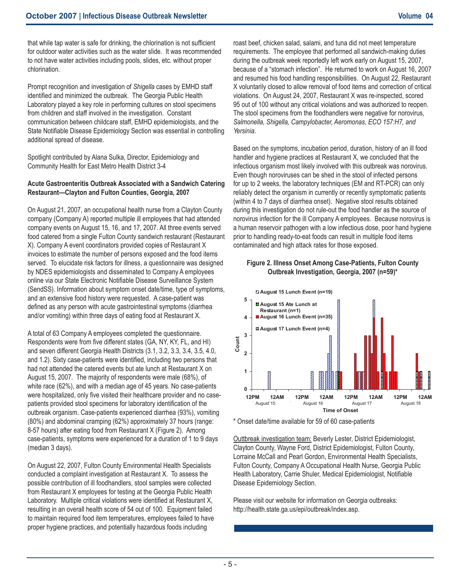that while tap water is safe for drinking, the chlorination is not sufficient for outdoor water activities such as the water slide. It was recommended to not have water activities including pools, slides, etc. without proper chlorination.

Prompt recognition and investigation of *Shigella* cases by EMHD staff identified and minimized the outbreak. The Georgia Public Health Laboratory played a key role in performing cultures on stool specimens from children and staff involved in the investigation. Constant communication between childcare staff, EMHD epidemiologists, and the State Notifiable Disease Epidemiology Section was essential in controlling additional spread of disease.

Spotlight contributed by Alana Sulka, Director, Epidemiology and Community Health for East Metro Health District 3-4

### **Acute Gastroenteritis Outbreak Associated with a Sandwich Catering Restaurant—Clayton and Fulton Counties, Georgia, 2007**

On August 21, 2007, an occupational health nurse from a Clayton County company (Company A) reported multiple ill employees that had attended company events on August 15, 16, and 17, 2007. All three events served food catered from a single Fulton County sandwich restaurant (Restaurant X). Company A event coordinators provided copies of Restaurant X invoices to estimate the number of persons exposed and the food items served. To elucidate risk factors for illness, a questionnaire was designed by NDES epidemiologists and disseminated to Company A employees online via our State Electronic Notifiable Disease Surveillance System (SendSS). Information about symptom onset date/time, type of symptoms, **5** and an extensive food history were requested. A case-patient was defined as any person with acute gastrointestinal symptoms (diarrhea and/or vomiting) within three days of eating food at Restaurant X.

A total of 63 Company A employees completed the questionnaire. Respondents were from five different states (GA, NY, KY, FL, and HI) and seven different Georgia Health Districts (3.1, 3.2, 3.3, 3.4, 3.5, 4.0, **3** and 1.2). Sixty case-patients were identified, including two persons that had not attended the catered events but ate lunch at Restaurant X on August 15, 2007. The majority of respondents were male (68%), of had not attended the catered events but ate lunch at Restaurant X on August 15, 2007. The majority of respondents were male (68%), of August 15, 2007. The majonty of respondents were male (66%), or<br>white race (62%), and with a median age of 45 years. No case-patients were hospitalized, only five visited their healthcare provider and no casepatients provided stool specimens for laboratory identification of the outbreak organism. Case-patients experienced diarrhea (93%), vomiting **1** (80%) and abdominal cramping (62%) approximately 37 hours (range: 8-57 hours) after eating food from Restaurant X (Figure 2). Among case-patients, symptoms were experienced for a duration of 1 to 9 days **0** (median 3 days).

On August 22, 2007, Fulton County Environmental Health Specialists conducted a complaint investigation at Restaurant X. To assess the possible contribution of ill foodhandlers, stool samples were collected from Restaurant X employees for testing at the Georgia Public Health Laboratory. Multiple critical violations were identified at Restaurant X, resulting in an overall health score of 54 out of 100. Equipment failed to maintain required food item temperatures, employees failed to have proper hygiene practices, and potentially hazardous foods including

roast beef, chicken salad, salami, and tuna did not meet temperature requirements. The employee that performed all sandwich-making duties during the outbreak week reportedly left work early on August 15, 2007, because of a "stomach infection". He returned to work on August 16, 2007 and resumed his food handling responsibilities. On August 22, Restaurant X voluntarily closed to allow removal of food items and correction of critical violations. On August 24, 2007, Restaurant X was re-inspected, scored 95 out of 100 without any critical violations and was authorized to reopen. The stool specimens from the foodhandlers were negative for norovirus, *Salmonella, Shigella, Campylobacter, Aeromonas, ECO 157:H7, and Yersinia*.

Based on the symptoms, incubation period, duration, history of an ill food handler and hygiene practices at Restaurant X, we concluded that the infectious organism most likely involved with this outbreak was norovirus. Even though noroviruses can be shed in the stool of infected persons for up to 2 weeks, the laboratory techniques (EM and RT-PCR) can only reliably detect the organism in currently or recently symptomatic patients (within 4 to 7 days of diarrhea onset). Negative stool results obtained during this investigation do not rule-out the food handler as the source of norovirus infection for the ill Company A employees. Because norovirus is a human reservoir pathogen with a low infectious dose, poor hand hygiene prior to handling ready-to-eat foods can result in multiple food items contaminated and high attack rates for those exposed.

### **Figure 2. Illness Onset Among Case-Patients, Fulton County Outbreak Investigation, Georgia, 2007 (n=59)\***



\* Onset date/time available for 59 of 60 case-patients

Outtbreak investigation team: Beverly Lester, District Epidemiologist, Clayton County, Wayne Ford, District Epidemiologist, Fulton County, Lorraine McCall and Pearl Gordon, Environmental Health Specialists, Fulton County, Company A Occupational Health Nurse, Georgia Public Health Laboratory, Carrie Shuler, Medical Epidemiologist, Notifiable<br>Health Laboratory, Carrie Shuler, Medical Epidemiologist, Notifiable Disease Epidemiology Section. **Time of Onset**

Please visit our website for information on Georgia outbreaks: http://health.state.ga.us/epi/outbreak/index.asp.

I